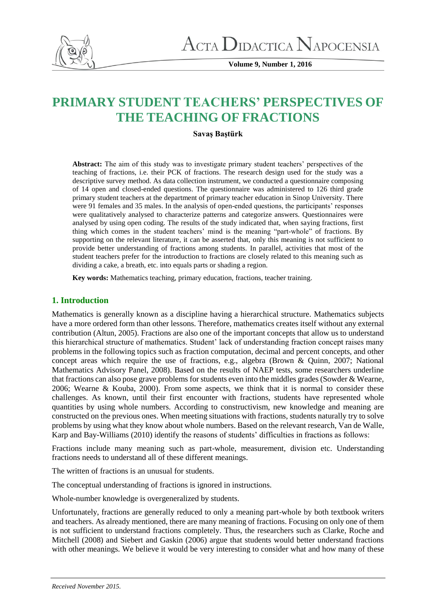

**Volume 9, Number 1, 2016**

# **PRIMARY STUDENT TEACHERS' PERSPECTIVES OF THE TEACHING OF FRACTIONS**

# **Savaş Baştürk**

**Abstract:** The aim of this study was to investigate primary student teachers' perspectives of the teaching of fractions, i.e. their PCK of fractions. The research design used for the study was a descriptive survey method. As data collection instrument, we conducted a questionnaire composing of 14 open and closed-ended questions. The questionnaire was administered to 126 third grade primary student teachers at the department of primary teacher education in Sinop University. There were 91 females and 35 males. In the analysis of open-ended questions, the participants' responses were qualitatively analysed to characterize patterns and categorize answers. Questionnaires were analysed by using open coding. The results of the study indicated that, when saying fractions, first thing which comes in the student teachers' mind is the meaning "part-whole" of fractions. By supporting on the relevant literature, it can be asserted that, only this meaning is not sufficient to provide better understanding of fractions among students. In parallel, activities that most of the student teachers prefer for the introduction to fractions are closely related to this meaning such as dividing a cake, a breath, etc. into equals parts or shading a region.

**Key words:** Mathematics teaching, primary education, fractions, teacher training.

# **1. Introduction**

Mathematics is generally known as a discipline having a hierarchical structure. Mathematics subjects have a more ordered form than other lessons. Therefore, mathematics creates itself without any external contribution (Altun, 2005). Fractions are also one of the important concepts that allow us to understand this hierarchical structure of mathematics. Student' lack of understanding fraction concept raises many problems in the following topics such as fraction computation, decimal and percent concepts, and other concept areas which require the use of fractions, e.g., algebra (Brown & Quinn, 2007; National Mathematics Advisory Panel, 2008). Based on the results of NAEP tests, some researchers underline that fractions can also pose grave problems for students even into the middles grades (Sowder & Wearne, 2006; Wearne & Kouba, 2000). From some aspects, we think that it is normal to consider these challenges. As known, until their first encounter with fractions, students have represented whole quantities by using whole numbers. According to constructivism, new knowledge and meaning are constructed on the previous ones. When meeting situations with fractions, students naturally try to solve problems by using what they know about whole numbers. Based on the relevant research, Van de Walle, Karp and Bay-Williams (2010) identify the reasons of students' difficulties in fractions as follows:

Fractions include many meaning such as part-whole, measurement, division etc. Understanding fractions needs to understand all of these different meanings.

The written of fractions is an unusual for students.

The conceptual understanding of fractions is ignored in instructions.

Whole-number knowledge is overgeneralized by students.

Unfortunately, fractions are generally reduced to only a meaning part-whole by both textbook writers and teachers. As already mentioned, there are many meaning of fractions. Focusing on only one of them is not sufficient to understand fractions completely. Thus, the researchers such as Clarke, Roche and Mitchell (2008) and Siebert and Gaskin (2006) argue that students would better understand fractions with other meanings. We believe it would be very interesting to consider what and how many of these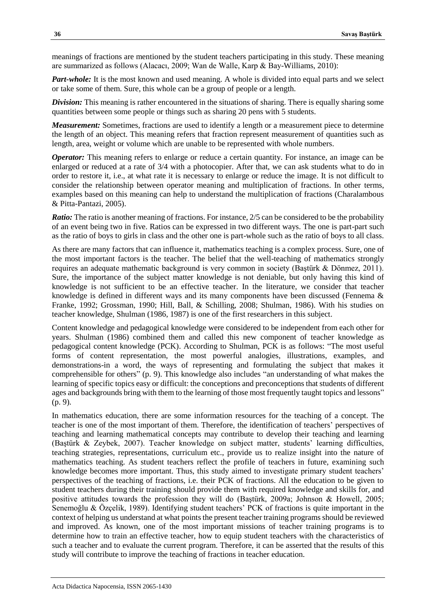meanings of fractions are mentioned by the student teachers participating in this study. These meaning are summarized as follows (Alacacı, 2009; Wan de Walle, Karp & Bay-Williams, 2010):

*Part-whole:* It is the most known and used meaning. A whole is divided into equal parts and we select or take some of them. Sure, this whole can be a group of people or a length.

*Division:* This meaning is rather encountered in the situations of sharing. There is equally sharing some quantities between some people or things such as sharing 20 pens with 5 students.

*Measurement:* Sometimes, fractions are used to identify a length or a measurement piece to determine the length of an object. This meaning refers that fraction represent measurement of quantities such as length, area, weight or volume which are unable to be represented with whole numbers.

*Operator:* This meaning refers to enlarge or reduce a certain quantity. For instance, an image can be enlarged or reduced at a rate of 3/4 with a photocopier. After that, we can ask students what to do in order to restore it, i.e., at what rate it is necessary to enlarge or reduce the image. It is not difficult to consider the relationship between operator meaning and multiplication of fractions. In other terms, examples based on this meaning can help to understand the multiplication of fractions (Charalambous & Pitta-Pantazi, 2005).

*Ratio:* The ratio is another meaning of fractions. For instance, 2/5 can be considered to be the probability of an event being two in five. Ratios can be expressed in two different ways. The one is part-part such as the ratio of boys to girls in class and the other one is part-whole such as the ratio of boys to all class.

As there are many factors that can influence it, mathematics teaching is a complex process. Sure, one of the most important factors is the teacher. The belief that the well-teaching of mathematics strongly requires an adequate mathematic background is very common in society (Baştürk & Dönmez, 2011). Sure, the importance of the subject matter knowledge is not deniable, but only having this kind of knowledge is not sufficient to be an effective teacher. In the literature, we consider that teacher knowledge is defined in different ways and its many components have been discussed (Fennema & Franke, 1992; Grossman, 1990; Hill, Ball, & Schilling, 2008; Shulman, 1986). With his studies on teacher knowledge, Shulman (1986, 1987) is one of the first researchers in this subject.

Content knowledge and pedagogical knowledge were considered to be independent from each other for years. Shulman (1986) combined them and called this new component of teacher knowledge as pedagogical content knowledge (PCK). According to Shulman, PCK is as follows: "The most useful forms of content representation, the most powerful analogies, illustrations, examples, and demonstrations-in a word, the ways of representing and formulating the subject that makes it comprehensible for others" (p. 9). This knowledge also includes "an understanding of what makes the learning of specific topics easy or difficult: the conceptions and preconceptions that students of different ages and backgrounds bring with them to the learning of those most frequently taught topics and lessons" (p. 9).

In mathematics education, there are some information resources for the teaching of a concept. The teacher is one of the most important of them. Therefore, the identification of teachers' perspectives of teaching and learning mathematical concepts may contribute to develop their teaching and learning (Baştürk & Zeybek, 2007). Teacher knowledge on subject matter, students' learning difficulties, teaching strategies, representations, curriculum etc., provide us to realize insight into the nature of mathematics teaching. As student teachers reflect the profile of teachers in future, examining such knowledge becomes more important. Thus, this study aimed to investigate primary student teachers' perspectives of the teaching of fractions, i.e. their PCK of fractions. All the education to be given to student teachers during their training should provide them with required knowledge and skills for, and positive attitudes towards the profession they will do (Baştürk, 2009a; Johnson & Howell, 2005; Senemoğlu & Özçelik, 1989). Identifying student teachers' PCK of fractions is quite important in the context of helping us understand at what points the present teacher training programs should be reviewed and improved. As known, one of the most important missions of teacher training programs is to determine how to train an effective teacher, how to equip student teachers with the characteristics of such a teacher and to evaluate the current program. Therefore, it can be asserted that the results of this study will contribute to improve the teaching of fractions in teacher education.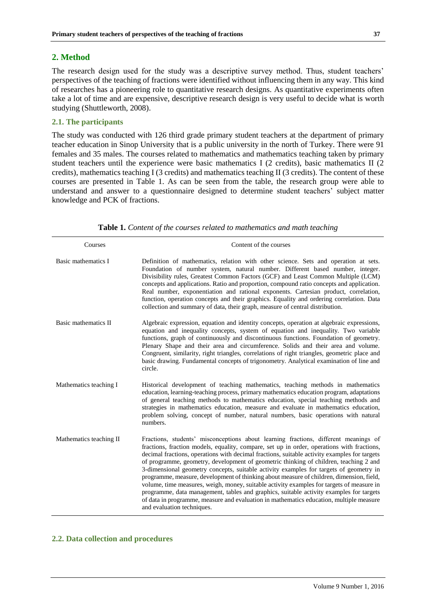## **2. Method**

The research design used for the study was a descriptive survey method. Thus, student teachers' perspectives of the teaching of fractions were identified without influencing them in any way. This kind of researches has a pioneering role to quantitative research designs. As quantitative experiments often take a lot of time and are expensive, descriptive research design is very useful to decide what is worth studying (Shuttleworth, 2008).

## **2.1. The participants**

The study was conducted with 126 third grade primary student teachers at the department of primary teacher education in Sinop University that is a public university in the north of Turkey. There were 91 females and 35 males. The courses related to mathematics and mathematics teaching taken by primary student teachers until the experience were basic mathematics I (2 credits), basic mathematics II (2 credits), mathematics teaching I (3 credits) and mathematics teaching II (3 credits). The content of these courses are presented in Table 1. As can be seen from the table, the research group were able to understand and answer to a questionnaire designed to determine student teachers' subject matter knowledge and PCK of fractions.

| Courses                 | Content of the courses                                                                                                                                                                                                                                                                                                                                                                                                                                                                                                                                                                                                                                                                                                                                                                                                                                                            |
|-------------------------|-----------------------------------------------------------------------------------------------------------------------------------------------------------------------------------------------------------------------------------------------------------------------------------------------------------------------------------------------------------------------------------------------------------------------------------------------------------------------------------------------------------------------------------------------------------------------------------------------------------------------------------------------------------------------------------------------------------------------------------------------------------------------------------------------------------------------------------------------------------------------------------|
| Basic mathematics I     | Definition of mathematics, relation with other science. Sets and operation at sets.<br>Foundation of number system, natural number. Different based number, integer.<br>Divisibility rules, Greatest Common Factors (GCF) and Least Common Multiple (LCM)<br>concepts and applications. Ratio and proportion, compound ratio concepts and application.<br>Real number, exponentiation and rational exponents. Cartesian product, correlation,<br>function, operation concepts and their graphics. Equality and ordering correlation. Data<br>collection and summary of data, their graph, measure of central distribution.                                                                                                                                                                                                                                                        |
| Basic mathematics II    | Algebraic expression, equation and identity concepts, operation at algebraic expressions,<br>equation and inequality concepts, system of equation and inequality. Two variable<br>functions, graph of continuously and discontinuous functions. Foundation of geometry.<br>Plenary Shape and their area and circumference. Solids and their area and volume.<br>Congruent, similarity, right triangles, correlations of right triangles, geometric place and<br>basic drawing. Fundamental concepts of trigonometry. Analytical examination of line and<br>circle.                                                                                                                                                                                                                                                                                                                |
| Mathematics teaching I  | Historical development of teaching mathematics, teaching methods in mathematics<br>education, learning-teaching process, primary mathematics education program, adaptations<br>of general teaching methods to mathematics education, special teaching methods and<br>strategies in mathematics education, measure and evaluate in mathematics education,<br>problem solving, concept of number, natural numbers, basic operations with natural<br>numbers.                                                                                                                                                                                                                                                                                                                                                                                                                        |
| Mathematics teaching II | Fractions, students' misconceptions about learning fractions, different meanings of<br>fractions, fraction models, equality, compare, set up in order, operations with fractions,<br>decimal fractions, operations with decimal fractions, suitable activity examples for targets<br>of programme, geometry, development of geometric thinking of children, teaching 2 and<br>3-dimensional geometry concepts, suitable activity examples for targets of geometry in<br>programme, measure, development of thinking about measure of children, dimension, field,<br>volume, time measures, weigh, money, suitable activity examples for targets of measure in<br>programme, data management, tables and graphics, suitable activity examples for targets<br>of data in programme, measure and evaluation in mathematics education, multiple measure<br>and evaluation techniques. |

**Table 1.** *Content of the courses related to mathematics and math teaching*

#### **2.2. Data collection and procedures**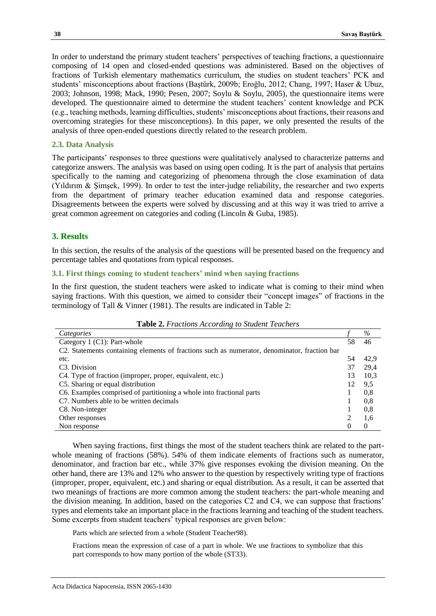In order to understand the primary student teachers' perspectives of teaching fractions, a questionnaire composing of 14 open and closed-ended questions was administered. Based on the objectives of fractions of Turkish elementary mathematics curriculum, the studies on student teachers' PCK and students' misconceptions about fractions (Baştürk, 2009b; Eroğlu, 2012; Chang, 1997; Haser & Ubuz, 2003; Johnson, 1998; Mack, 1990; Pesen, 2007; Soylu & Soylu, 2005), the questionnaire items were developed. The questionnaire aimed to determine the student teachers' content knowledge and PCK (e.g., teaching methods, learning difficulties, students' misconceptions about fractions, their reasons and overcoming strategies for these misconceptions). In this paper, we only presented the results of the analysis of three open-ended questions directly related to the research problem.

## **2.3. Data Analysis**

The participants' responses to three questions were qualitatively analysed to characterize patterns and categorize answers. The analysis was based on using open coding. It is the part of analysis that pertains specifically to the naming and categorizing of phenomena through the close examination of data (Yıldırım & Şimşek, 1999). In order to test the inter-judge reliability, the researcher and two experts from the department of primary teacher education examined data and response categories. Disagreements between the experts were solved by discussing and at this way it was tried to arrive a great common agreement on categories and coding (Lincoln & Guba, 1985).

## **3. Results**

In this section, the results of the analysis of the questions will be presented based on the frequency and percentage tables and quotations from typical responses.

#### **3.1. First things coming to student teachers' mind when saying fractions**

In the first question, the student teachers were asked to indicate what is coming to their mind when saying fractions. With this question, we aimed to consider their "concept images" of fractions in the terminology of Tall & Vinner (1981). The results are indicated in Table 2:

| Categories                                                                                   |    | $\%$ |
|----------------------------------------------------------------------------------------------|----|------|
| Category 1 (C1): Part-whole                                                                  |    | 46   |
| C2. Statements containing elements of fractions such as numerator, denominator, fraction bar |    |      |
| etc.                                                                                         | 54 | 42.9 |
| C <sub>3</sub> . Division                                                                    | 37 | 29,4 |
| C4. Type of fraction (improper, proper, equivalent, etc.)                                    |    | 10.3 |
| C5. Sharing or equal distribution                                                            |    | 9,5  |
| C6. Examples comprised of partitioning a whole into fractional parts                         |    | 0.8  |
| C7. Numbers able to be written decimals                                                      |    | 0.8  |
| C8. Non-integer                                                                              |    | 0.8  |
| Other responses                                                                              |    | 1,6  |
| Non response                                                                                 |    | 0    |

**Table 2.** *Fractions According to Student Teachers*

When saying fractions, first things the most of the student teachers think are related to the partwhole meaning of fractions (58%). 54% of them indicate elements of fractions such as numerator, denominator, and fraction bar etc., while 37% give responses evoking the division meaning. On the other hand, there are 13% and 12% who answer to the question by respectively writing type of fractions (improper, proper, equivalent, etc.) and sharing or equal distribution. As a result, it can be asserted that two meanings of fractions are more common among the student teachers: the part-whole meaning and the division meaning. In addition, based on the categories C2 and C4, we can suppose that fractions' types and elements take an important place in the fractions learning and teaching of the student teachers. Some excerpts from student teachers' typical responses are given below:

Parts which are selected from a whole (Student Teacher98).

Fractions mean the expression of case of a part in whole. We use fractions to symbolize that this part corresponds to how many portion of the whole (ST33).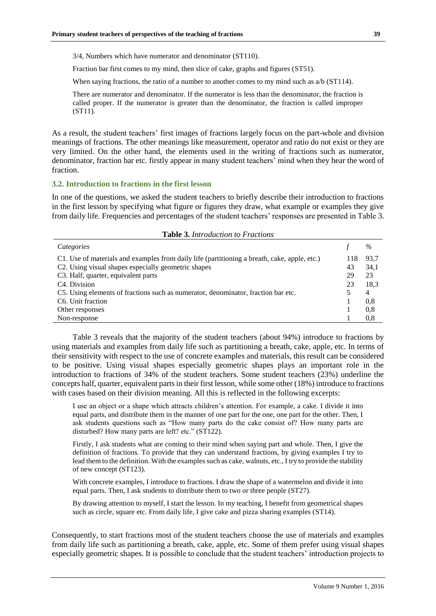3/4, Numbers which have numerator and denominator (ST110).

Fraction bar first comes to my mind, then slice of cake, graphs and figures (ST51).

When saying fractions, the ratio of a number to another comes to my mind such as  $a/b$  (ST114).

There are numerator and denominator. If the numerator is less than the denominator, the fraction is called proper. If the numerator is greater than the denominator, the fraction is called improper (ST11).

As a result, the student teachers' first images of fractions largely focus on the part-whole and division meanings of fractions. The other meanings like measurement, operator and ratio do not exist or they are very limited. On the other hand, the elements used in the writing of fractions such as numerator, denominator, fraction bar etc. firstly appear in many student teachers' mind when they hear the word of fraction.

## **3.2. Introduction to fractions in the first lesson**

In one of the questions, we asked the student teachers to briefly describe their introduction to fractions in the first lesson by specifying what figure or figures they draw, what example or examples they give from daily life. Frequencies and percentages of the student teachers' responses are presented in Table 3.

| <b>Table 3. Introduction to Fractions</b>                                                    |    |      |  |  |  |
|----------------------------------------------------------------------------------------------|----|------|--|--|--|
| Categories                                                                                   |    | $\%$ |  |  |  |
| C1. Use of materials and examples from daily life (partitioning a breath, cake, apple, etc.) |    | 93.7 |  |  |  |
| C2. Using visual shapes especially geometric shapes                                          |    | 34,1 |  |  |  |
| C3. Half, quarter, equivalent parts                                                          |    | 23   |  |  |  |
| C <sub>4</sub> . Division                                                                    | 23 | 18.3 |  |  |  |
| C5. Using elements of fractions such as numerator, denominator, fraction bar etc.            |    | 4    |  |  |  |
| C <sub>6</sub> . Unit fraction                                                               |    | 0.8  |  |  |  |
| Other responses                                                                              |    | 0.8  |  |  |  |
| Non-response                                                                                 |    | 0.8  |  |  |  |

Table 3 reveals that the majority of the student teachers (about 94%) introduce to fractions by using materials and examples from daily life such as partitioning a breath, cake, apple, etc. In terms of their sensitivity with respect to the use of concrete examples and materials, this result can be considered to be positive. Using visual shapes especially geometric shapes plays an important role in the introduction to fractions of 34% of the student teachers. Some student teachers (23%) underline the concepts half, quarter, equivalent parts in their first lesson, while some other (18%) introduce to fractions with cases based on their division meaning. All this is reflected in the following excerpts:

I use an object or a shape which attracts children's attention. For example, a cake. I divide it into equal parts, and distribute them in the manner of one part for the one, one part for the other. Then, I ask students questions such as "How many parts do the cake consist of? How many parts are disturbed? How many parts are left? etc." (ST122).

Firstly, I ask students what are coming to their mind when saying part and whole. Then, I give the definition of fractions. To provide that they can understand fractions, by giving examples I try to lead them to the definition. With the examples such as cake, walnuts, etc., I try to provide the stability of new concept (ST123).

With concrete examples, I introduce to fractions. I draw the shape of a watermelon and divide it into equal parts. Then, I ask students to distribute them to two or three people (ST27).

By drawing attention to myself, I start the lesson. In my teaching, I benefit from geometrical shapes such as circle, square etc. From daily life, I give cake and pizza sharing examples (ST14).

Consequently, to start fractions most of the student teachers choose the use of materials and examples from daily life such as partitioning a breath, cake, apple, etc. Some of them prefer using visual shapes especially geometric shapes. It is possible to conclude that the student teachers' introduction projects to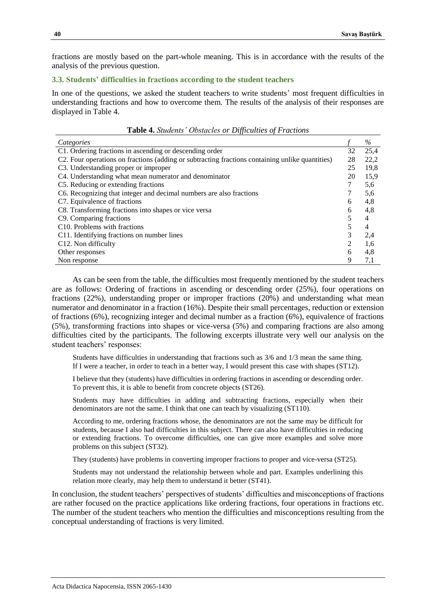fractions are mostly based on the part-whole meaning. This is in accordance with the results of the analysis of the previous question.

## **3.3. Students' difficulties in fractions according to the student teachers**

In one of the questions, we asked the student teachers to write students' most frequent difficulties in understanding fractions and how to overcome them. The results of the analysis of their responses are displayed in Table 4.

**Table 4.** *Students' Obstacles or Difficulties of Fractions*

| Categories                                                                                      |  | %    |
|-------------------------------------------------------------------------------------------------|--|------|
| C1. Ordering fractions in ascending or descending order                                         |  | 25,4 |
| C2. Four operations on fractions (adding or subtracting fractions containing unlike quantities) |  | 22,2 |
| C3. Understanding proper or improper                                                            |  | 19,8 |
| C4. Understanding what mean numerator and denominator                                           |  | 15,9 |
| C5. Reducing or extending fractions                                                             |  | 5,6  |
| C6. Recognizing that integer and decimal numbers are also fractions                             |  | 5,6  |
| C7. Equivalence of fractions                                                                    |  | 4,8  |
| C8. Transforming fractions into shapes or vice versa                                            |  | 4,8  |
| C <sub>9</sub> . Comparing fractions                                                            |  | 4    |
| C <sub>10</sub> . Problems with fractions                                                       |  | 4    |
| C11. Identifying fractions on number lines                                                      |  | 2,4  |
| C <sub>12</sub> . Non difficulty                                                                |  | 1,6  |
| Other responses                                                                                 |  | 4,8  |
| Non response                                                                                    |  | 7,1  |

As can be seen from the table, the difficulties most frequently mentioned by the student teachers are as follows: Ordering of fractions in ascending or descending order (25%), four operations on fractions (22%), understanding proper or improper fractions (20%) and understanding what mean numerator and denominator in a fraction (16%). Despite their small percentages, reduction or extension of fractions (6%), recognizing integer and decimal number as a fraction (6%), equivalence of fractions (5%), transforming fractions into shapes or vice-versa (5%) and comparing fractions are also among difficulties cited by the participants. The following excerpts illustrate very well our analysis on the student teachers' responses:

Students have difficulties in understanding that fractions such as 3/6 and 1/3 mean the same thing. If I were a teacher, in order to teach in a better way, I would present this case with shapes (ST12).

I believe that they (students) have difficulties in ordering fractions in ascending or descending order. To prevent this, it is able to benefit from concrete objects (ST26).

Students may have difficulties in adding and subtracting fractions, especially when their denominators are not the same. I think that one can teach by visualizing (ST110).

According to me, ordering fractions whose, the denominators are not the same may be difficult for students, because I also had difficulties in this subject. There can also have difficulties in reducing or extending fractions. To overcome difficulties, one can give more examples and solve more problems on this subject (ST32).

They (students) have problems in converting improper fractions to proper and vice-versa (ST25).

Students may not understand the relationship between whole and part. Examples underlining this relation more clearly, may help them to understand it better (ST41).

In conclusion, the student teachers' perspectives of students' difficulties and misconceptions of fractions are rather focused on the practice applications like ordering fractions, four operations in fractions etc. The number of the student teachers who mention the difficulties and misconceptions resulting from the conceptual understanding of fractions is very limited.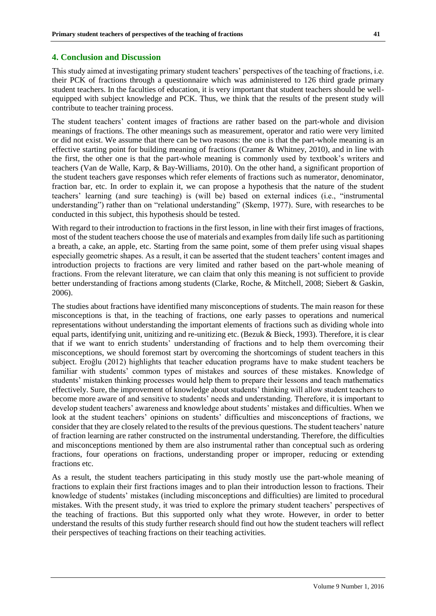## **4. Conclusion and Discussion**

This study aimed at investigating primary student teachers' perspectives of the teaching of fractions, i.e. their PCK of fractions through a questionnaire which was administered to 126 third grade primary student teachers. In the faculties of education, it is very important that student teachers should be wellequipped with subject knowledge and PCK. Thus, we think that the results of the present study will contribute to teacher training process.

The student teachers' content images of fractions are rather based on the part-whole and division meanings of fractions. The other meanings such as measurement, operator and ratio were very limited or did not exist. We assume that there can be two reasons: the one is that the part-whole meaning is an effective starting point for building meaning of fractions (Cramer & Whitney, 2010), and in line with the first, the other one is that the part-whole meaning is commonly used by textbook's writers and teachers (Van de Walle, Karp, & Bay-Williams, 2010). On the other hand, a significant proportion of the student teachers gave responses which refer elements of fractions such as numerator, denominator, fraction bar, etc. In order to explain it, we can propose a hypothesis that the nature of the student teachers' learning (and sure teaching) is (will be) based on external indices (i.e., "instrumental understanding") rather than on "relational understanding" (Skemp, 1977). Sure, with researches to be conducted in this subject, this hypothesis should be tested.

With regard to their introduction to fractions in the first lesson, in line with their first images of fractions, most of the student teachers choose the use of materials and examples from daily life such as partitioning a breath, a cake, an apple, etc. Starting from the same point, some of them prefer using visual shapes especially geometric shapes. As a result, it can be asserted that the student teachers' content images and introduction projects to fractions are very limited and rather based on the part-whole meaning of fractions. From the relevant literature, we can claim that only this meaning is not sufficient to provide better understanding of fractions among students (Clarke, Roche, & Mitchell, 2008; Siebert & Gaskin, 2006).

The studies about fractions have identified many misconceptions of students. The main reason for these misconceptions is that, in the teaching of fractions, one early passes to operations and numerical representations without understanding the important elements of fractions such as dividing whole into equal parts, identifying unit, unitizing and re-unitizing etc. (Bezuk & Bieck, 1993). Therefore, it is clear that if we want to enrich students' understanding of fractions and to help them overcoming their misconceptions, we should foremost start by overcoming the shortcomings of student teachers in this subject. Eroğlu (2012) highlights that teacher education programs have to make student teachers be familiar with students' common types of mistakes and sources of these mistakes. Knowledge of students' mistaken thinking processes would help them to prepare their lessons and teach mathematics effectively. Sure, the improvement of knowledge about students' thinking will allow student teachers to become more aware of and sensitive to students' needs and understanding. Therefore, it is important to develop student teachers' awareness and knowledge about students' mistakes and difficulties. When we look at the student teachers' opinions on students' difficulties and misconceptions of fractions, we consider that they are closely related to the results of the previous questions. The student teachers' nature of fraction learning are rather constructed on the instrumental understanding. Therefore, the difficulties and misconceptions mentioned by them are also instrumental rather than conceptual such as ordering fractions, four operations on fractions, understanding proper or improper, reducing or extending fractions etc.

As a result, the student teachers participating in this study mostly use the part-whole meaning of fractions to explain their first fractions images and to plan their introduction lesson to fractions. Their knowledge of students' mistakes (including misconceptions and difficulties) are limited to procedural mistakes. With the present study, it was tried to explore the primary student teachers' perspectives of the teaching of fractions. But this supported only what they wrote. However, in order to better understand the results of this study further research should find out how the student teachers will reflect their perspectives of teaching fractions on their teaching activities.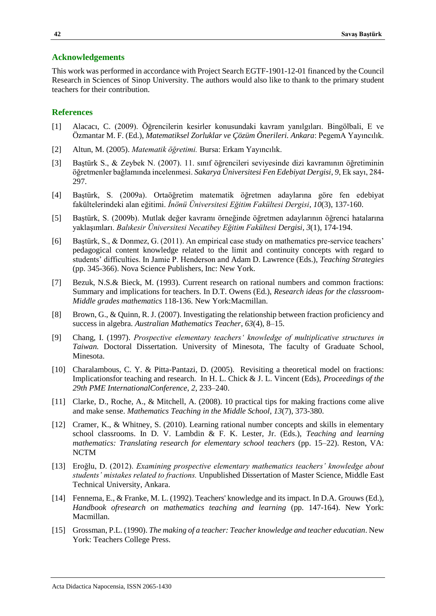## **Acknowledgements**

This work was performed in accordance with Project Search EGTF-1901-12-01 financed by the Council Research in Sciences of Sinop University. The authors would also like to thank to the primary student teachers for their contribution.

## **References**

- [1] Alacacı, C. (2009). Öğrencilerin kesirler konusundaki kavram yanılgıları. Bingölbali, E ve Özmantar M. F. (Ed.), *Matematiksel Zorluklar ve Çözüm Önerileri. Ankara*: PegemA Yayıncılık.
- [2] Altun, M. (2005). *Matematik öğretimi.* Bursa: Erkam Yayıncılık.
- [3] Baştürk S., & Zeybek N. (2007). 11. sınıf öğrencileri seviyesinde dizi kavramının öğretiminin öğretmenler bağlamında incelenmesi. *Sakarya Üniversitesi Fen Edebiyat Dergisi*, *9*, Ek sayı, 284- 297.
- [4] Baştürk, S. (2009a). Ortaöğretim matematik öğretmen adaylarına göre fen edebiyat fakültelerindeki alan eğitimi. *İnönü Üniversitesi Eğitim Fakültesi Dergisi*, *10*(3), 137-160.
- [5] Baştürk, S. (2009b). Mutlak değer kavramı örneğinde öğretmen adaylarının öğrenci hatalarına yaklaşımları. *Balıkesir Üniversitesi Necatibey Eğitim Fakültesi Dergisi*, *3*(1), 174-194.
- [6] Baştürk, S., & Donmez, G. (2011). An empirical case study on mathematics pre-service teachers' pedagogical content knowledge related to the limit and continuity concepts with regard to students' difficulties. In Jamie P. Henderson and Adam D. Lawrence (Eds.), *Teaching Strategies*  (pp. 345-366). Nova Science Publishers, Inc: New York.
- [7] Bezuk, N.S.& Bieck, M. (1993). Current research on rational numbers and common fractions: Summary and implications for teachers. In D.T. Owens (Ed.), *Research ideas for the classroom-Middle grades mathematics* 118-136. New York:Macmillan.
- [8] Brown, G., & Quinn, R. J. (2007). Investigating the relationship between fraction proficiency and success in algebra. *Australian Mathematics Teacher*, *63*(4), 8–15.
- [9] Chang, I. (1997). *Prospective elementary teachers' knowledge of multiplicative structures in Taiwan.* Doctoral Dissertation. University of Minesota, The faculty of Graduate School, Minesota.
- [10] Charalambous, C. Y. & Pitta-Pantazi, D. (2005). Revisiting a theoretical model on fractions: Implicationsfor teaching and research. In H. L. Chick & J. L. Vincent (Eds), *Proceedings of the 29th PME InternationalConference*, *2*, 233–240.
- [11] Clarke, D., Roche, A., & Mitchell, A. (2008). 10 practical tips for making fractions come alive and make sense. *Mathematics Teaching in the Middle School*, *13*(7), 373-380.
- [12] Cramer, K., & Whitney, S. (2010). Learning rational number concepts and skills in elementary school classrooms. In D. V. Lambdin & F. K. Lester, Jr. (Eds.), *Teaching and learning mathematics: Translating research for elementary school teachers* (pp. 15–22). Reston, VA: NCTM
- [13] Eroğlu, D. (2012). *Examining prospective elementary mathematics teachers' knowledge about students' mistakes related to fractions.* Unpublished Dissertation of Master Science, Middle East Technical University, Ankara.
- [14] Fennema, E., & Franke, M. L. (1992). Teachers' knowledge and its impact. In D.A. Grouws (Ed.), *Handbook ofresearch on mathematics teaching and learning* (pp. 147-164). New York: Macmillan.
- [15] Grossman, P.L. (1990). *The making of a teacher: Teacher knowledge and teacher educatian*. New York: Teachers College Press.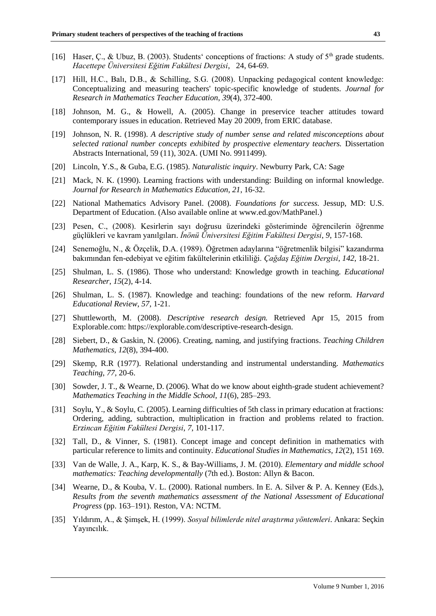- [16] Haser, C., & Ubuz, B. (2003). Students' conceptions of fractions: A study of 5<sup>th</sup> grade students. *Hacettepe Üniversitesi Eğitim Fakültesi Dergisi*, 24, 64-69.
- [17] Hill, H.C., Balı, D.B., & Schilling, S.G. (2008). Unpacking pedagogical content knowledge: Conceptualizing and measuring teachers' topic-specific knowledge of students. *Journal for Research in Mathematics Teacher Education*, *39*(4), 372-400.
- [18] Johnson, M. G., & Howell, A. (2005). Change in preservice teacher attitudes toward contemporary issues in education. Retrieved May 20 2009, from ERIC database.
- [19] Johnson, N. R. (1998). *A descriptive study of number sense and related misconceptions about selected rational number concepts exhibited by prospective elementary teachers.* Dissertation Abstracts International, 59 (11), 302A. (UMI No. 9911499).
- [20] Lincoln, Y.S., & Guba, E.G. (1985). *Naturalistic inquiry*. Newburry Park, CA: Sage
- [21] Mack, N. K. (1990). Learning fractions with understanding: Building on informal knowledge. *Journal for Research in Mathematics Education*, *21*, 16-32.
- [22] National Mathematics Advisory Panel. (2008). *Foundations for success.* Jessup, MD: U.S. Department of Education. (Also available online at [www.ed.gov/MathPanel.](http://www.ed.gov/MathPanel))
- [23] Pesen, C., (2008). Kesirlerin sayı doğrusu üzerindeki gösteriminde öğrencilerin öğrenme güçlükleri ve kavram yanılgıları. *İnönü Üniversitesi Eğitim Fakültesi Dergisi*, *9*, 157-168.
- [24] Senemoğlu, N., & Özçelik, D.A. (1989). Öğretmen adaylarına "öğretmenlik bilgisi" kazandırma bakımından fen-edebiyat ve eğitim fakültelerinin etkililiği. *Çağdaş Eğitim Dergisi*, *142*, 18-21.
- [25] Shulman, L. S. (1986). Those who understand: Knowledge growth in teaching. *Educational Researcher*, *15*(2), 4-14.
- [26] Shulman, L. S. (1987). Knowledge and teaching: foundations of the new reform. *Harvard Educational Review*, *57*, 1-21.
- [27] Shuttleworth, M. (2008). *Descriptive research design.* Retrieved Apr 15, 2015 from Explorable.com: [https://explorable.com/descriptive-research-design.](https://explorable.com/descriptive-research-design)
- [28] Siebert, D., & Gaskin, N. (2006). Creating, naming, and justifying fractions. *Teaching Children Mathematics*, *12*(8), 394-400.
- [29] Skemp, R.R (1977). Relational understanding and instrumental understanding. *Mathematics Teaching*, *77,* 20-6.
- [30] Sowder, J. T., & Wearne, D. (2006). What do we know about eighth-grade student achievement? *Mathematics Teaching in the Middle School*, *11*(6), 285–293.
- [31] Soylu, Y., & Soylu, C. (2005). Learning difficulties of 5th class in primary education at fractions: Ordering, adding, subtraction, multiplication in fraction and problems related to fraction. *Erzincan Eğitim Fakültesi Dergisi*, *7*, 101-117.
- [32] Tall, D., & Vinner, S. (1981). Concept image and concept definition in mathematics with particular reference to limits and continuity. *Educational Studies in Mathematics, 12*(2), 151 169.
- [33] Van de Walle, J. A., Karp, K. S., & Bay-Williams, J. M. (2010). *Elementary and middle school mathematics: Teaching developmentally* (7th ed.). Boston: Allyn & Bacon.
- [34] Wearne, D., & Kouba, V. L. (2000). Rational numbers. In E. A. Silver & P. A. Kenney (Eds.), *Results from the seventh mathematics assessment of the National Assessment of Educational Progress* (pp. 163–191). Reston, VA: NCTM.
- [35] Yıldırım, A., & Şimşek, H. (1999). *Sosyal bilimlerde nitel araştırma yöntemleri*. Ankara: Seçkin Yayıncılık.